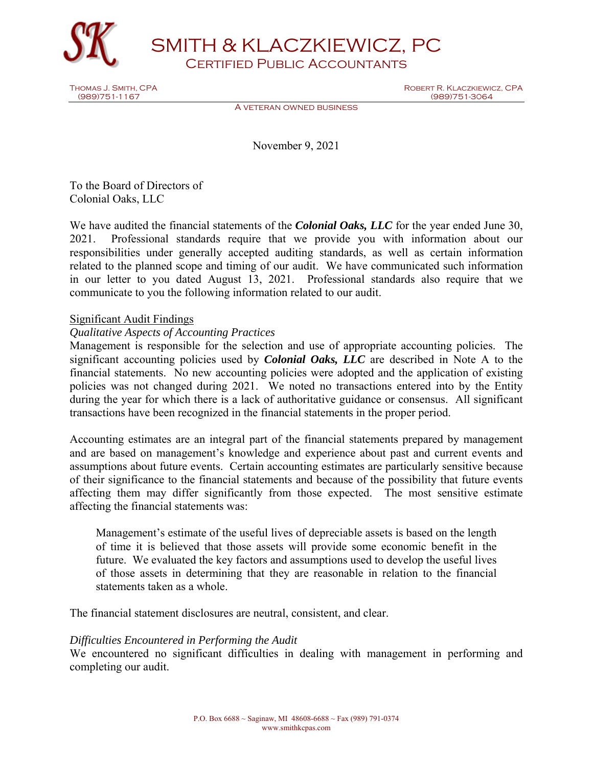

SMITH & KLACZKIEWICZ, PC Certified Public Accountants

Thomas J. Smith, CPA Robert R. Klaczkiewicz, CPA Robert R. Klaczkiewicz, CPA Robert R. Klaczkiewicz, CPA Robert R. Klaczkiewicz, CPA Robert R. Klaczkiewicz, CPA Robert R. Klaczkiewicz, CPA Robert R. Klaczkiewicz, CPA Rober (989)751-3064

A veteran owned business

November 9, 2021

To the Board of Directors of Colonial Oaks, LLC

We have audited the financial statements of the *Colonial Oaks, LLC* for the year ended June 30, 2021. Professional standards require that we provide you with information about our responsibilities under generally accepted auditing standards, as well as certain information related to the planned scope and timing of our audit. We have communicated such information in our letter to you dated August 13, 2021. Professional standards also require that we communicate to you the following information related to our audit.

# Significant Audit Findings

# *Qualitative Aspects of Accounting Practices*

Management is responsible for the selection and use of appropriate accounting policies. The significant accounting policies used by *Colonial Oaks, LLC* are described in Note A to the financial statements. No new accounting policies were adopted and the application of existing policies was not changed during 2021. We noted no transactions entered into by the Entity during the year for which there is a lack of authoritative guidance or consensus. All significant transactions have been recognized in the financial statements in the proper period.

Accounting estimates are an integral part of the financial statements prepared by management and are based on management's knowledge and experience about past and current events and assumptions about future events. Certain accounting estimates are particularly sensitive because of their significance to the financial statements and because of the possibility that future events affecting them may differ significantly from those expected. The most sensitive estimate affecting the financial statements was:

Management's estimate of the useful lives of depreciable assets is based on the length of time it is believed that those assets will provide some economic benefit in the future. We evaluated the key factors and assumptions used to develop the useful lives of those assets in determining that they are reasonable in relation to the financial statements taken as a whole.

The financial statement disclosures are neutral, consistent, and clear.

### *Difficulties Encountered in Performing the Audit*

We encountered no significant difficulties in dealing with management in performing and completing our audit.